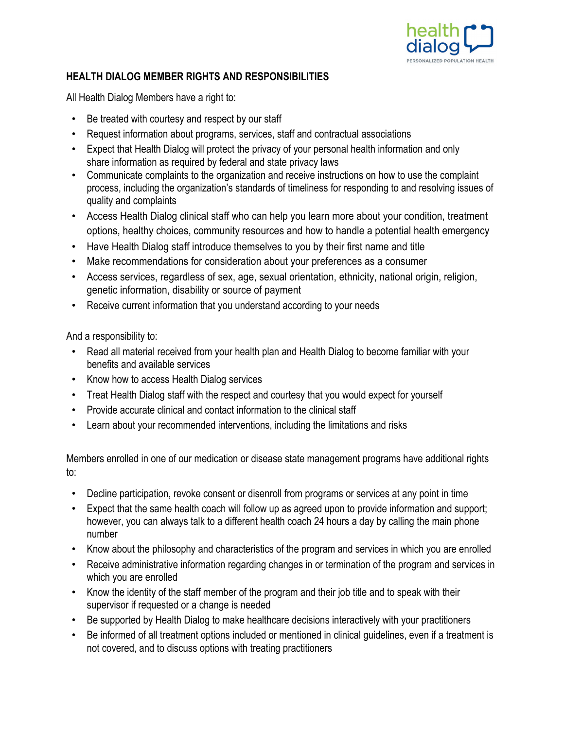

## **HEALTH DIALOG MEMBER RIGHTS AND RESPONSIBILITIES**

All Health Dialog Members have a right to:

- Be treated with courtesy and respect by our staff
- Request information about programs, services, staff and contractual associations
- Expect that Health Dialog will protect the privacy of your personal health information and only share information as required by federal and state privacy laws
- Communicate complaints to the organization and receive instructions on how to use the complaint process, including the organization's standards of timeliness for responding to and resolving issues of quality and complaints
- Access Health Dialog clinical staff who can help you learn more about your condition, treatment options, healthy choices, community resources and how to handle a potential health emergency
- Have Health Dialog staff introduce themselves to you by their first name and title
- Make recommendations for consideration about your preferences as a consumer
- Access services, regardless of sex, age, sexual orientation, ethnicity, national origin, religion, genetic information, disability or source of payment
- Receive current information that you understand according to your needs

And a responsibility to:

- Read all material received from your health plan and Health Dialog to become familiar with your benefits and available services
- Know how to access Health Dialog services
- Treat Health Dialog staff with the respect and courtesy that you would expect for yourself
- Provide accurate clinical and contact information to the clinical staff
- Learn about your recommended interventions, including the limitations and risks

Members enrolled in one of our medication or disease state management programs have additional rights to:

- Decline participation, revoke consent or disenroll from programs or services at any point in time
- Expect that the same health coach will follow up as agreed upon to provide information and support; however, you can always talk to a different health coach 24 hours a day by calling the main phone number
- Know about the philosophy and characteristics of the program and services in which you are enrolled
- Receive administrative information regarding changes in or termination of the program and services in which you are enrolled
- Know the identity of the staff member of the program and their job title and to speak with their supervisor if requested or a change is needed
- Be supported by Health Dialog to make healthcare decisions interactively with your practitioners
- Be informed of all treatment options included or mentioned in clinical guidelines, even if a treatment is not covered, and to discuss options with treating practitioners